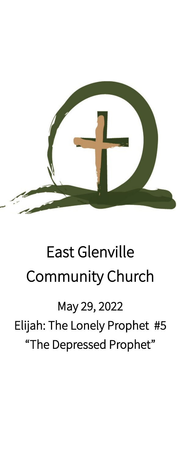

# East Glenville Community Church

May 29, 2022 Elijah: The Lonely Prophet #5 "The Depressed Prophet"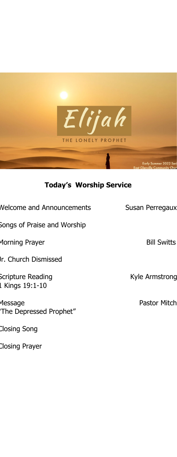

# **Today's Worship Service**

Welcome and Announcements Susan Perregaux Songs of Praise and Worship Morning Prayer and The Communist Communist Bill Switts Jr. Church Dismissed Scripture Reading The Contract Contract Contract Contract Contract Contract Contract Contract Contract Contract Contract Contract Contract Contract Contract Contract Contract Contract Contract Contract Contract Contract Co 1 Kings 19:1-10 Message **Pastor Mitch** "The Depressed Prophet"

Closing Song

Closing Prayer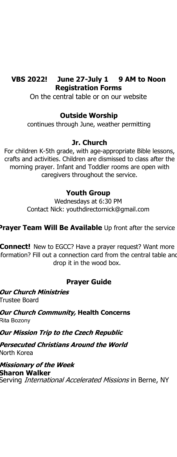#### **VBS 2022! June 27-July 1 9 AM to Noon Registration Forms**

On the central table or on our website

### **Outside Worship**

continues through June, weather permitting

### **Jr. Church**

For children K-5th grade, with age-appropriate Bible lessons, crafts and activities. Children are dismissed to class after the morning prayer. Infant and Toddler rooms are open with caregivers throughout the service.

### **Youth Group**

Wednesdays at 6:30 PM Contact Nick: youthdirectornick@gmail.com

## **Prayer Team Will Be Available** Up front after the service

**Connect!** New to EGCC? Have a prayer request? Want more formation? Fill out a connection card from the central table and drop it in the wood box.

## **Prayer Guide**

**Our Church Ministries** Trustee Board

**Our Church Community, Health Concerns** Rita Bozony

**Our Mission Trip to the Czech Republic**

**Persecuted Christians Around the World** North Korea

**Missionary of the Week Sharon Walker** Serving *International Accelerated Missions* in Berne, NY